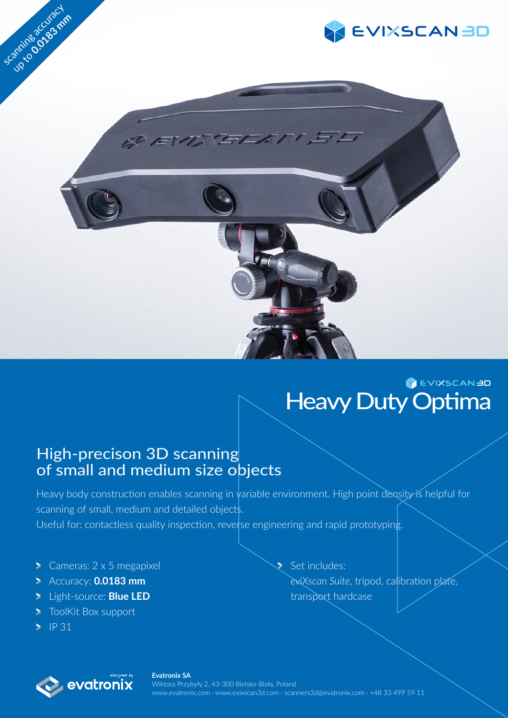

## **EVIXSCAN BD** Heavy Duty Optima

### High-precison 3D scanning of small and medium size objects

Heavy body construction enables scanning in variable environment. High point density is helpful for scanning of small, medium and detailed objects. Useful for: contactless quality inspection, reverse engineering and rapid prototyping.

- Cameras:  $2 \times 5$  megapixel
- Accuracy: **0.0183 mm**
- Light-source: **Blue LED**
- **ToolKit Box support**
- $\blacktriangleright$  IP 31

Set includes: *eviXscan Suite*, tripod, calibration plate, transport hardcase



**Evatronix SA** Wiktora Przybyły 2, 43-300 Bielsko-Biała, Poland www.evatronix.com · www.evixscan3d.com · scanners3d@evatronix.com · +48 33 499 59 11